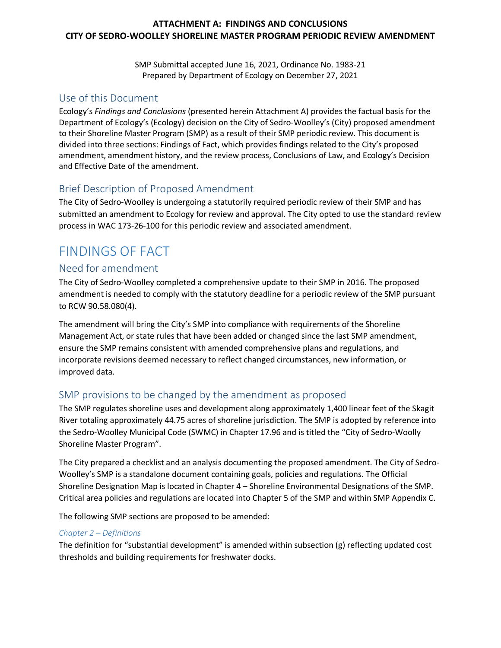### **ATTACHMENT A: FINDINGS AND CONCLUSIONS CITY OF SEDRO-WOOLLEY SHORELINE MASTER PROGRAM PERIODIC REVIEW AMENDMENT**

SMP Submittal accepted June 16, 2021, Ordinance No. 1983-21 Prepared by Department of Ecology on December 27, 2021

## Use of this Document

Ecology's *Findings and Conclusions* (presented herein Attachment A) provides the factual basis for the Department of Ecology's (Ecology) decision on the City of Sedro-Woolley's (City) proposed amendment to their Shoreline Master Program (SMP) as a result of their SMP periodic review. This document is divided into three sections: Findings of Fact, which provides findings related to the City's proposed amendment, amendment history, and the review process, Conclusions of Law, and Ecology's Decision and Effective Date of the amendment.

## Brief Description of Proposed Amendment

The City of Sedro-Woolley is undergoing a statutorily required periodic review of their SMP and has submitted an amendment to Ecology for review and approval. The City opted to use the standard review process in WAC 173-26-100 for this periodic review and associated amendment.

# FINDINGS OF FACT

## Need for amendment

The City of Sedro-Woolley completed a comprehensive update to their SMP in 2016. The proposed amendment is needed to comply with the statutory deadline for a periodic review of the SMP pursuant to RCW 90.58.080(4).

The amendment will bring the City's SMP into compliance with requirements of the Shoreline Management Act, or state rules that have been added or changed since the last SMP amendment, ensure the SMP remains consistent with amended comprehensive plans and regulations, and incorporate revisions deemed necessary to reflect changed circumstances, new information, or improved data.

# SMP provisions to be changed by the amendment as proposed

The SMP regulates shoreline uses and development along approximately 1,400 linear feet of the Skagit River totaling approximately 44.75 acres of shoreline jurisdiction. The SMP is adopted by reference into the Sedro-Woolley Municipal Code (SWMC) in Chapter 17.96 and is titled the "City of Sedro-Woolly Shoreline Master Program".

The City prepared a checklist and an analysis documenting the proposed amendment. The City of Sedro-Woolley's SMP is a standalone document containing goals, policies and regulations. The Official Shoreline Designation Map is located in Chapter 4 – Shoreline Environmental Designations of the SMP. Critical area policies and regulations are located into Chapter 5 of the SMP and within SMP Appendix C.

The following SMP sections are proposed to be amended:

### *Chapter 2 – Definitions*

The definition for "substantial development" is amended within subsection (g) reflecting updated cost thresholds and building requirements for freshwater docks.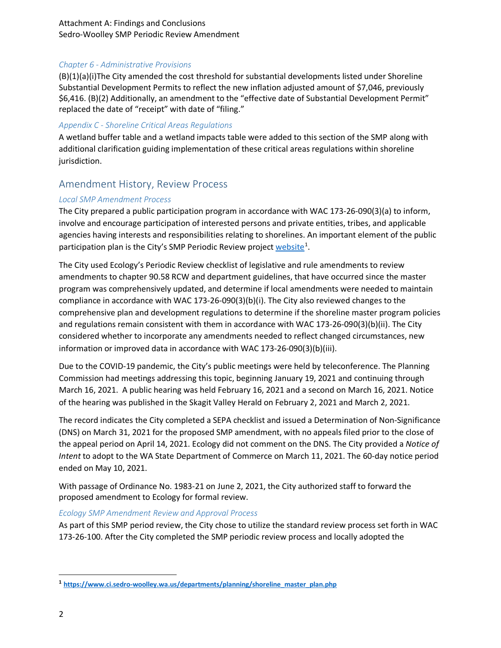Attachment A: Findings and Conclusions Sedro-Woolley SMP Periodic Review Amendment

#### *Chapter 6 - Administrative Provisions*

(B)(1)(a)(i)The City amended the cost threshold for substantial developments listed under Shoreline Substantial Development Permits to reflect the new inflation adjusted amount of \$7,046, previously \$6,416. (B)(2) Additionally, an amendment to the "effective date of Substantial Development Permit" replaced the date of "receipt" with date of "filing."

#### *Appendix C - Shoreline Critical Areas Regulations*

A wetland buffer table and a wetland impacts table were added to this section of the SMP along with additional clarification guiding implementation of these critical areas regulations within shoreline jurisdiction.

## Amendment History, Review Process

### *Local SMP Amendment Process*

The City prepared a public participation program in accordance with WAC 173-26-090(3)(a) to inform, involve and encourage participation of interested persons and private entities, tribes, and applicable agencies having interests and responsibilities relating to shorelines. An important element of the public participation plan is the City's SMP Periodic Review project [website](https://www.ci.sedro-woolley.wa.us/departments/planning/shoreline_master_plan.php)<sup>[1](#page-1-0)</sup>.

The City used Ecology's Periodic Review checklist of legislative and rule amendments to review amendments to chapter 90.58 RCW and department guidelines, that have occurred since the master program was comprehensively updated, and determine if local amendments were needed to maintain compliance in accordance with WAC 173-26-090(3)(b)(i). The City also reviewed changes to the comprehensive plan and development regulations to determine if the shoreline master program policies and regulations remain consistent with them in accordance with WAC 173-26-090(3)(b)(ii). The City considered whether to incorporate any amendments needed to reflect changed circumstances, new information or improved data in accordance with WAC 173-26-090(3)(b)(iii).

Due to the COVID-19 pandemic, the City's public meetings were held by teleconference. The Planning Commission had meetings addressing this topic, beginning January 19, 2021 and continuing through March 16, 2021. A public hearing was held February 16, 2021 and a second on March 16, 2021. Notice of the hearing was published in the Skagit Valley Herald on February 2, 2021 and March 2, 2021.

The record indicates the City completed a SEPA checklist and issued a Determination of Non-Significance (DNS) on March 31, 2021 for the proposed SMP amendment, with no appeals filed prior to the close of the appeal period on April 14, 2021. Ecology did not comment on the DNS. The City provided a *Notice of Intent* to adopt to the WA State Department of Commerce on March 11, 2021. The 60-day notice period ended on May 10, 2021.

With passage of Ordinance No. 1983-21 on June 2, 2021, the City authorized staff to forward the proposed amendment to Ecology for formal review.

#### *Ecology SMP Amendment Review and Approval Process*

As part of this SMP period review, the City chose to utilize the standard review process set forth in WAC 173-26-100. After the City completed the SMP periodic review process and locally adopted the

 $\overline{\phantom{a}}$ 

<span id="page-1-0"></span>**<sup>1</sup> [https://www.ci.sedro-woolley.wa.us/departments/planning/shoreline\\_master\\_plan.php](https://www.ci.sedro-woolley.wa.us/departments/planning/shoreline_master_plan.php)**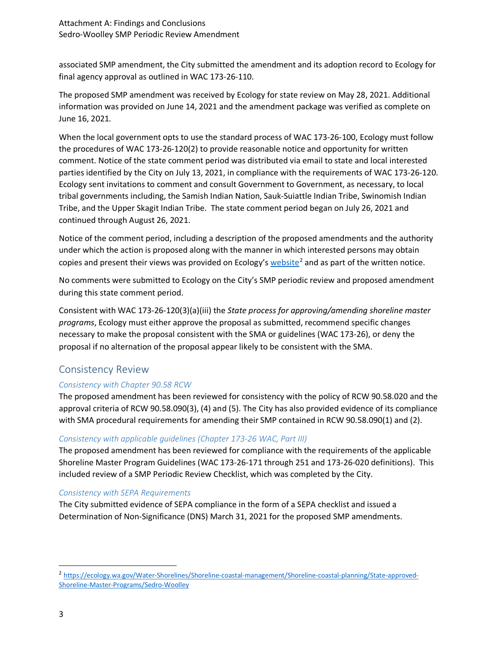associated SMP amendment, the City submitted the amendment and its adoption record to Ecology for final agency approval as outlined in WAC 173-26-110.

The proposed SMP amendment was received by Ecology for state review on May 28, 2021. Additional information was provided on June 14, 2021 and the amendment package was verified as complete on June 16, 2021*.*

When the local government opts to use the standard process of WAC 173-26-100, Ecology must follow the procedures of WAC 173-26-120(2) to provide reasonable notice and opportunity for written comment. Notice of the state comment period was distributed via email to state and local interested parties identified by the City on July 13, 2021, in compliance with the requirements of WAC 173-26-120. Ecology sent invitations to comment and consult Government to Government, as necessary, to local tribal governments including, the Samish Indian Nation, Sauk-Suiattle Indian Tribe, Swinomish Indian Tribe, and the Upper Skagit Indian Tribe. The state comment period began on July 26, 2021 and continued through August 26, 2021.

Notice of the comment period, including a description of the proposed amendments and the authority under which the action is proposed along with the manner in which interested persons may obtain copies and present their views was provided on Ecology's [website](https://ecology.wa.gov/Water-Shorelines/Shoreline-coastal-management/Shoreline-coastal-planning/State-approved-Shoreline-Master-Programs/Sedro-Woolley)<sup>[2](#page-2-0)</sup> and as part of the written notice.

No comments were submitted to Ecology on the City's SMP periodic review and proposed amendment during this state comment period.

Consistent with WAC 173-26-120(3)(a)(iii) the *State process for approving/amending shoreline master programs*, Ecology must either approve the proposal as submitted, recommend specific changes necessary to make the proposal consistent with the SMA or guidelines (WAC 173-26), or deny the proposal if no alternation of the proposal appear likely to be consistent with the SMA.

# Consistency Review

## *Consistency with Chapter 90.58 RCW*

The proposed amendment has been reviewed for consistency with the policy of RCW 90.58.020 and the approval criteria of RCW 90.58.090(3), (4) and (5). The City has also provided evidence of its compliance with SMA procedural requirements for amending their SMP contained in RCW 90.58.090(1) and (2).

## *Consistency with applicable guidelines (Chapter 173-26 WAC, Part III)*

The proposed amendment has been reviewed for compliance with the requirements of the applicable Shoreline Master Program Guidelines (WAC 173-26-171 through 251 and 173-26-020 definitions). This included review of a SMP Periodic Review Checklist, which was completed by the City.

### *Consistency with SEPA Requirements*

The City submitted evidence of SEPA compliance in the form of a SEPA checklist and issued a Determination of Non-Significance (DNS) March 31, 2021 for the proposed SMP amendments.

<span id="page-2-0"></span> <sup>2</sup> https://ecology.wa.gov/Water-Shorelines/Shoreline-coastal-management/Shoreline-coastal-planning/State-approved-Shoreline-Master-Programs/Sedro-Woolley